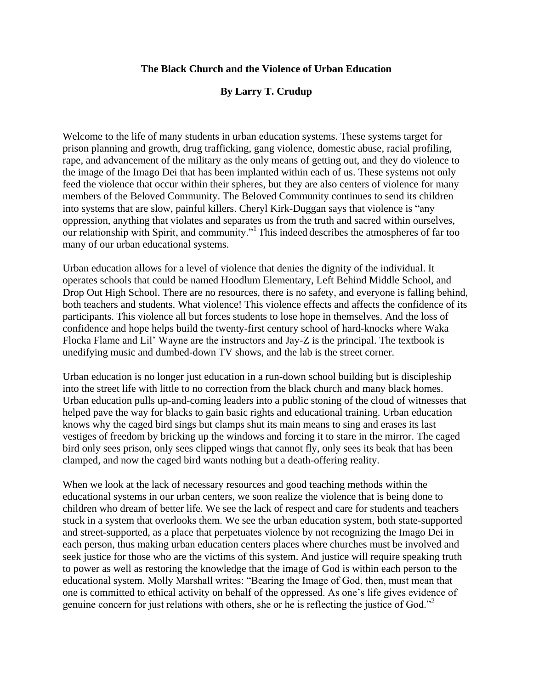## **The Black Church and the Violence of Urban Education**

## **By Larry T. Crudup**

Welcome to the life of many students in urban education systems. These systems target for prison planning and growth, drug trafficking, gang violence, domestic abuse, racial profiling, rape, and advancement of the military as the only means of getting out, and they do violence to the image of the Imago Dei that has been implanted within each of us. These systems not only feed the violence that occur within their spheres, but they are also centers of violence for many members of the Beloved Community. The Beloved Community continues to send its children into systems that are slow, painful killers. Cheryl Kirk-Duggan says that violence is "any oppression, anything that violates and separates us from the truth and sacred within ourselves, our relationship with Spirit, and community."<sup>1</sup> This indeed describes the atmospheres of far too many of our urban educational systems.

Urban education allows for a level of violence that denies the dignity of the individual. It operates schools that could be named Hoodlum Elementary, Left Behind Middle School, and Drop Out High School. There are no resources, there is no safety, and everyone is falling behind, both teachers and students. What violence! This violence effects and affects the confidence of its participants. This violence all but forces students to lose hope in themselves. And the loss of confidence and hope helps build the twenty-first century school of hard-knocks where Waka Flocka Flame and Lil' Wayne are the instructors and Jay-Z is the principal. The textbook is unedifying music and dumbed-down TV shows, and the lab is the street corner.

Urban education is no longer just education in a run-down school building but is discipleship into the street life with little to no correction from the black church and many black homes. Urban education pulls up-and-coming leaders into a public stoning of the cloud of witnesses that helped pave the way for blacks to gain basic rights and educational training. Urban education knows why the caged bird sings but clamps shut its main means to sing and erases its last vestiges of freedom by bricking up the windows and forcing it to stare in the mirror. The caged bird only sees prison, only sees clipped wings that cannot fly, only sees its beak that has been clamped, and now the caged bird wants nothing but a death-offering reality.

When we look at the lack of necessary resources and good teaching methods within the educational systems in our urban centers, we soon realize the violence that is being done to children who dream of better life. We see the lack of respect and care for students and teachers stuck in a system that overlooks them. We see the urban education system, both state-supported and street-supported, as a place that perpetuates violence by not recognizing the Imago Dei in each person, thus making urban education centers places where churches must be involved and seek justice for those who are the victims of this system. And justice will require speaking truth to power as well as restoring the knowledge that the image of God is within each person to the educational system. Molly Marshall writes: "Bearing the Image of God, then, must mean that one is committed to ethical activity on behalf of the oppressed. As one's life gives evidence of genuine concern for just relations with others, she or he is reflecting the justice of God."<sup>2</sup>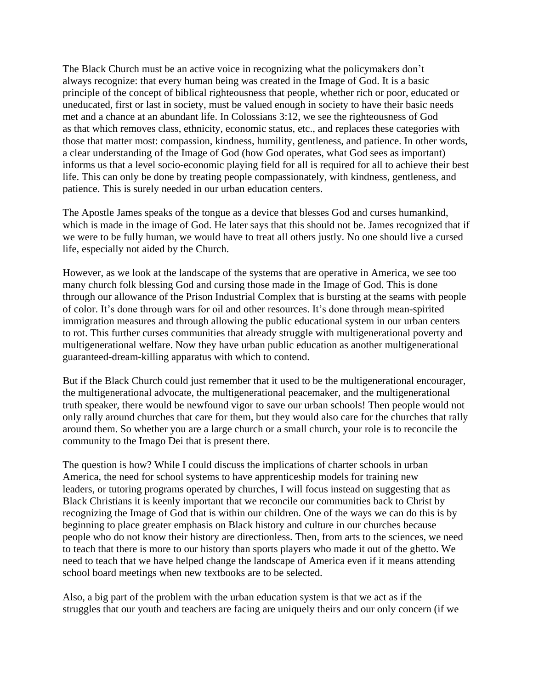The Black Church must be an active voice in recognizing what the policymakers don't always recognize: that every human being was created in the Image of God. It is a basic principle of the concept of biblical righteousness that people, whether rich or poor, educated or uneducated, first or last in society, must be valued enough in society to have their basic needs met and a chance at an abundant life. In Colossians 3:12, we see the righteousness of God as that which removes class, ethnicity, economic status, etc., and replaces these categories with those that matter most: compassion, kindness, humility, gentleness, and patience. In other words, a clear understanding of the Image of God (how God operates, what God sees as important) informs us that a level socio-economic playing field for all is required for all to achieve their best life. This can only be done by treating people compassionately, with kindness, gentleness, and patience. This is surely needed in our urban education centers.

The Apostle James speaks of the tongue as a device that blesses God and curses humankind, which is made in the image of God. He later says that this should not be. James recognized that if we were to be fully human, we would have to treat all others justly. No one should live a cursed life, especially not aided by the Church.

However, as we look at the landscape of the systems that are operative in America, we see too many church folk blessing God and cursing those made in the Image of God. This is done through our allowance of the Prison Industrial Complex that is bursting at the seams with people of color. It's done through wars for oil and other resources. It's done through mean-spirited immigration measures and through allowing the public educational system in our urban centers to rot. This further curses communities that already struggle with multigenerational poverty and multigenerational welfare. Now they have urban public education as another multigenerational guaranteed-dream-killing apparatus with which to contend.

But if the Black Church could just remember that it used to be the multigenerational encourager, the multigenerational advocate, the multigenerational peacemaker, and the multigenerational truth speaker, there would be newfound vigor to save our urban schools! Then people would not only rally around churches that care for them, but they would also care for the churches that rally around them. So whether you are a large church or a small church, your role is to reconcile the community to the Imago Dei that is present there.

The question is how? While I could discuss the implications of charter schools in urban America, the need for school systems to have apprenticeship models for training new leaders, or tutoring programs operated by churches, I will focus instead on suggesting that as Black Christians it is keenly important that we reconcile our communities back to Christ by recognizing the Image of God that is within our children. One of the ways we can do this is by beginning to place greater emphasis on Black history and culture in our churches because people who do not know their history are directionless. Then, from arts to the sciences, we need to teach that there is more to our history than sports players who made it out of the ghetto. We need to teach that we have helped change the landscape of America even if it means attending school board meetings when new textbooks are to be selected.

Also, a big part of the problem with the urban education system is that we act as if the struggles that our youth and teachers are facing are uniquely theirs and our only concern (if we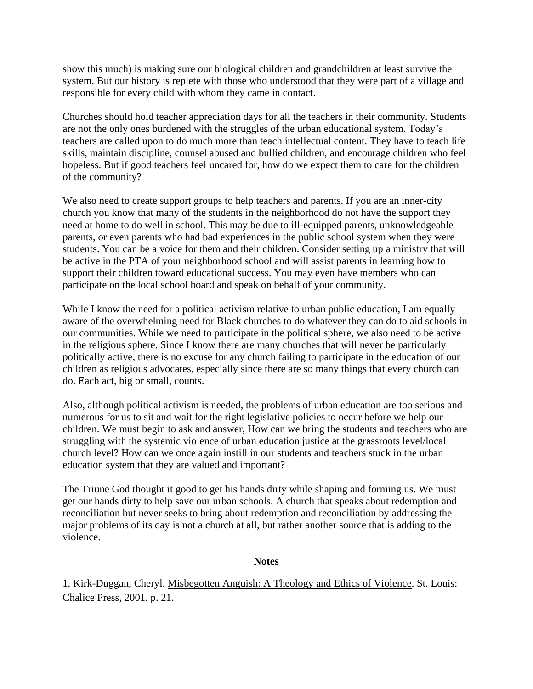show this much) is making sure our biological children and grandchildren at least survive the system. But our history is replete with those who understood that they were part of a village and responsible for every child with whom they came in contact.

Churches should hold teacher appreciation days for all the teachers in their community. Students are not the only ones burdened with the struggles of the urban educational system. Today's teachers are called upon to do much more than teach intellectual content. They have to teach life skills, maintain discipline, counsel abused and bullied children, and encourage children who feel hopeless. But if good teachers feel uncared for, how do we expect them to care for the children of the community?

We also need to create support groups to help teachers and parents. If you are an inner-city church you know that many of the students in the neighborhood do not have the support they need at home to do well in school. This may be due to ill-equipped parents, unknowledgeable parents, or even parents who had bad experiences in the public school system when they were students. You can be a voice for them and their children. Consider setting up a ministry that will be active in the PTA of your neighborhood school and will assist parents in learning how to support their children toward educational success. You may even have members who can participate on the local school board and speak on behalf of your community.

While I know the need for a political activism relative to urban public education, I am equally aware of the overwhelming need for Black churches to do whatever they can do to aid schools in our communities. While we need to participate in the political sphere, we also need to be active in the religious sphere. Since I know there are many churches that will never be particularly politically active, there is no excuse for any church failing to participate in the education of our children as religious advocates, especially since there are so many things that every church can do. Each act, big or small, counts.

Also, although political activism is needed, the problems of urban education are too serious and numerous for us to sit and wait for the right legislative policies to occur before we help our children. We must begin to ask and answer, How can we bring the students and teachers who are struggling with the systemic violence of urban education justice at the grassroots level/local church level? How can we once again instill in our students and teachers stuck in the urban education system that they are valued and important?

The Triune God thought it good to get his hands dirty while shaping and forming us. We must get our hands dirty to help save our urban schools. A church that speaks about redemption and reconciliation but never seeks to bring about redemption and reconciliation by addressing the major problems of its day is not a church at all, but rather another source that is adding to the violence.

## **Notes**

1. Kirk-Duggan, Cheryl. Misbegotten Anguish: A Theology and Ethics of Violence. St. Louis: Chalice Press, 2001. p. 21.